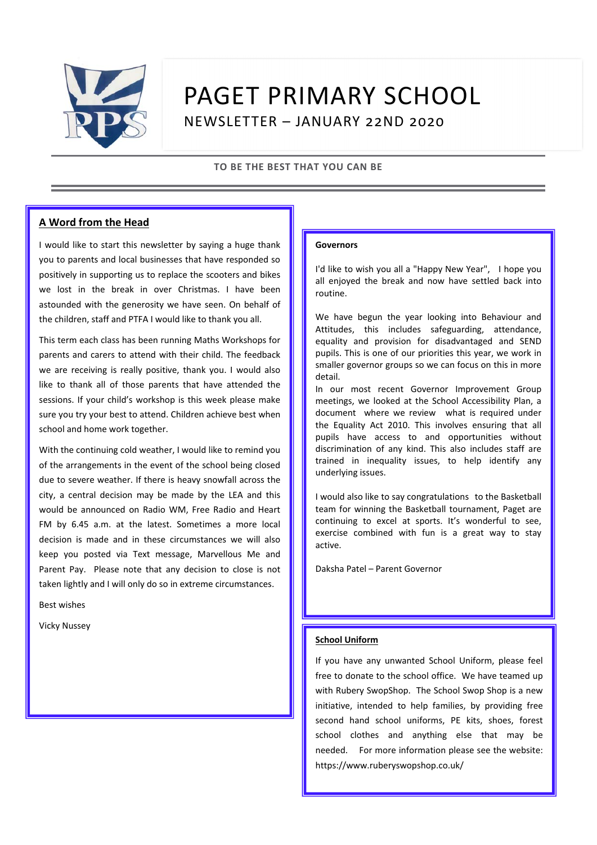

# PAGET PRIMARY SCHOOL NEWSLETTER – JANUARY 22ND 2020

#### **TO BE THE BEST THAT YOU CAN BE**

#### **A Word from the Head**

I would like to start this newsletter by saying a huge thank you to parents and local businesses that have responded so positively in supporting us to replace the scooters and bikes we lost in the break in over Christmas. I have been astounded with the generosity we have seen. On behalf of the children, staff and PTFA I would like to thank you all.

This term each class has been running Maths Workshops for parents and carers to attend with their child. The feedback we are receiving is really positive, thank you. I would also like to thank all of those parents that have attended the sessions. If your child's workshop is this week please make sure you try your best to attend. Children achieve best when school and home work together.

With the continuing cold weather, I would like to remind you of the arrangements in the event of the school being closed due to severe weather. If there is heavy snowfall across the city, a central decision may be made by the LEA and this would be announced on Radio WM, Free Radio and Heart FM by 6.45 a.m. at the latest. Sometimes a more local decision is made and in these circumstances we will also keep you posted via Text message, Marvellous Me and Parent Pay. Please note that any decision to close is not taken lightly and I will only do so in extreme circumstances.

Best wishes

Vicky Nussey

#### **Governors**

I'd like to wish you all a "Happy New Year", I hope you all enjoyed the break and now have settled back into routine.

We have begun the year looking into Behaviour and Attitudes, this includes safeguarding, attendance, equality and provision for disadvantaged and SEND pupils. This is one of our priorities this year, we work in smaller governor groups so we can focus on this in more detail.

In our most recent Governor Improvement Group meetings, we looked at the School Accessibility Plan, a document where we review what is required under the Equality Act 2010. This involves ensuring that all pupils have access to and opportunities without discrimination of any kind. This also includes staff are trained in inequality issues, to help identify any underlying issues.

I would also like to say congratulations to the Basketball team for winning the Basketball tournament, Paget are continuing to excel at sports. It's wonderful to see, exercise combined with fun is a great way to stay active.

Daksha Patel – Parent Governor

#### **School Uniform**

If you have any unwanted School Uniform, please feel free to donate to the school office. We have teamed up with Rubery SwopShop. The School Swop Shop is a new initiative, intended to help families, by providing free second hand school uniforms, PE kits, shoes, forest school clothes and anything else that may be needed. For more information please see the website: https://www.ruberyswopshop.co.uk/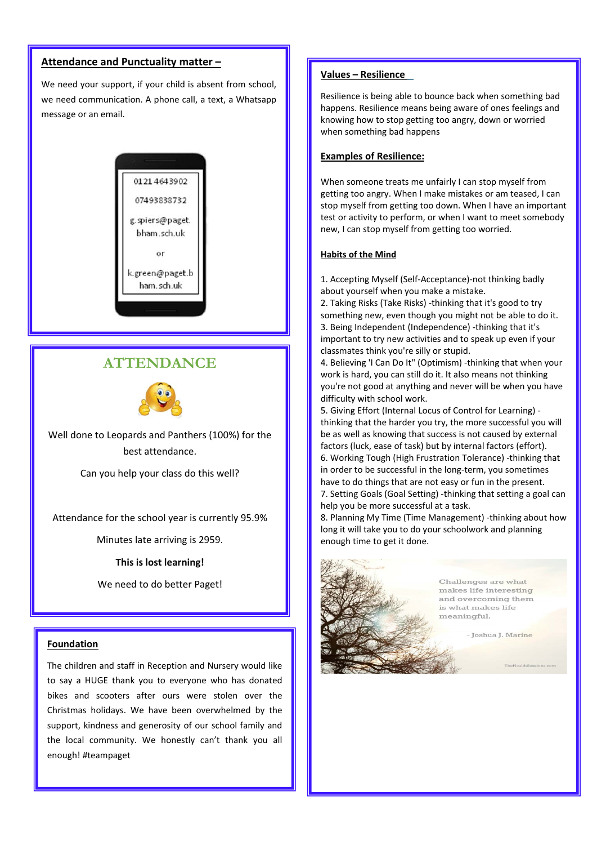#### **Attendance and Punctuality matter –**

We need your support, if your child is absent from school, we need communication. A phone call, a text, a Whatsapp message or an email.



### **ATTENDANCE**



Well done to Leopards and Panthers (100%) for the best attendance.

Can you help your class do this well?

Attendance for the school year is currently 95.9%

Minutes late arriving is 2959.

#### **This is lost learning!**

We need to do better Paget!

#### **Foundation**

The children and staff in Reception and Nursery would like to say a HUGE thank you to everyone who has donated bikes and scooters after ours were stolen over the Christmas holidays. We have been overwhelmed by the support, kindness and generosity of our school family and the local community. We honestly can't thank you all enough! #teampaget

#### **Values – Resilience**

Resilience is being able to bounce back when something bad happens. Resilience means being aware of ones feelings and knowing how to stop getting too angry, down or worried when something bad happens

#### **Examples of Resilience:**

When someone treats me unfairly I can stop myself from getting too angry. When I make mistakes or am teased, I can stop myself from getting too down. When I have an important test or activity to perform, or when I want to meet somebody new, I can stop myself from getting too worried.

#### **Habits of the Mind**

1. Accepting Myself (Self-Acceptance)-not thinking badly about yourself when you make a mistake.

2. Taking Risks (Take Risks) -thinking that it's good to try something new, even though you might not be able to do it. 3. Being Independent (Independence) -thinking that it's important to try new activities and to speak up even if your classmates think you're silly or stupid.

4. Believing 'I Can Do It" (Optimism) -thinking that when your work is hard, you can still do it. It also means not thinking you're not good at anything and never will be when you have difficulty with school work.

5. Giving Effort (Internal Locus of Control for Learning) thinking that the harder you try, the more successful you will be as well as knowing that success is not caused by external factors (luck, ease of task) but by internal factors (effort). 6. Working Tough (High Frustration Tolerance) -thinking that in order to be successful in the long-term, you sometimes have to do things that are not easy or fun in the present. 7. Setting Goals (Goal Setting) -thinking that setting a goal can help you be more successful at a task.

8. Planning My Time (Time Management) -thinking about how long it will take you to do your schoolwork and planning enough time to get it done.



Challenges are what makes life interesting and overcoming them is what makes life meaningful.

- Ioshua I. Marine